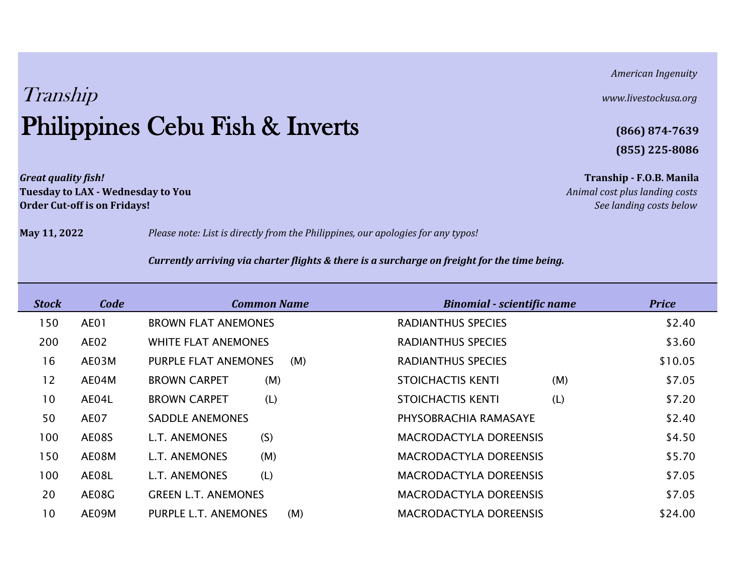*American Ingenuity*

# **(855) 225-8086**

*Great quality fish!* **Tranship - F.O.B. Manila**

**May 11, 2022** *Please note: List is directly from the Philippines, our apologies for any typos!*

### *Currently arriving via charter flights & there is a surcharge on freight for the time being.*

| <b>Stock</b> | Code        | <b>Common Name</b>         |     | <b>Binomial - scientific name</b> |     | <b>Price</b> |
|--------------|-------------|----------------------------|-----|-----------------------------------|-----|--------------|
| 150          | <b>AE01</b> | <b>BROWN FLAT ANEMONES</b> |     | <b>RADIANTHUS SPECIES</b>         |     | \$2.40       |
| 200          | AE02        | <b>WHITE FLAT ANEMONES</b> |     | <b>RADIANTHUS SPECIES</b>         |     | \$3.60       |
| 16           | AE03M       | PURPLE FLAT ANEMONES       | (M) | <b>RADIANTHUS SPECIES</b>         |     | \$10.05      |
| 12           | AE04M       | <b>BROWN CARPET</b><br>(M) |     | <b>STOICHACTIS KENTI</b>          | (M) | \$7.05       |
| 10           | AE04L       | (L)<br><b>BROWN CARPET</b> |     | STOICHACTIS KENTI                 | (L) | \$7.20       |
| 50           | AE07        | <b>SADDLE ANEMONES</b>     |     | PHYSOBRACHIA RAMASAYE             |     | \$2.40       |
| 100          | AE08S       | (S)<br>L.T. ANEMONES       |     | <b>MACRODACTYLA DOREENSIS</b>     |     | \$4.50       |
| 150          | AE08M       | (M)<br>L.T. ANEMONES       |     | <b>MACRODACTYLA DOREENSIS</b>     |     | \$5.70       |
| 100          | AE08L       | (L)<br>L.T. ANEMONES       |     | <b>MACRODACTYLA DOREENSIS</b>     |     | \$7.05       |
| 20           | AE08G       | <b>GREEN L.T. ANEMONES</b> |     | <b>MACRODACTYLA DOREENSIS</b>     |     | \$7.05       |
| 10           | AE09M       | PURPLE L.T. ANEMONES       | (M) | <b>MACRODACTYLA DOREENSIS</b>     |     | \$24.00      |

# Tranship *www.livestockusa.org* Philippines Cebu Fish & Inverts **(866) 874-7639**

**Tuesday to LAX - Wednesday to You** *Animal cost plus landing costs* **Order Cut-off is on Fridays!** *See landing costs below*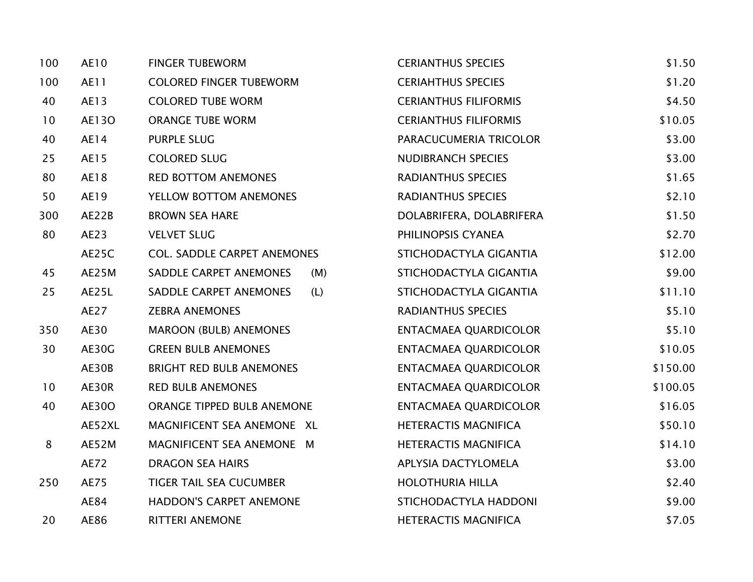| 100 | AE10        | <b>FINGER TUBEWORM</b>             | <b>CERIANTHUS SPECIES</b>    | \$1.50   |
|-----|-------------|------------------------------------|------------------------------|----------|
| 100 | AE11        | <b>COLORED FINGER TUBEWORM</b>     | <b>CERIAHTHUS SPECIES</b>    | \$1.20   |
| 40  | AE13        | <b>COLORED TUBE WORM</b>           | <b>CERIANTHUS FILIFORMIS</b> | \$4.50   |
| 10  | AE130       | <b>ORANGE TUBE WORM</b>            | <b>CERIANTHUS FILIFORMIS</b> | \$10.05  |
| 40  | AE14        | <b>PURPLE SLUG</b>                 | PARACUCUMERIA TRICOLOR       | \$3.00   |
| 25  | AE15        | <b>COLORED SLUG</b>                | <b>NUDIBRANCH SPECIES</b>    | \$3.00   |
| 80  | AE18        | <b>RED BOTTOM ANEMONES</b>         | <b>RADIANTHUS SPECIES</b>    | \$1.65   |
| 50  | AE19        | YELLOW BOTTOM ANEMONES             | <b>RADIANTHUS SPECIES</b>    | \$2.10   |
| 300 | AE22B       | <b>BROWN SEA HARE</b>              | DOLABRIFERA, DOLABRIFERA     | \$1.50   |
| 80  | AE23        | <b>VELVET SLUG</b>                 | PHILINOPSIS CYANEA           | \$2.70   |
|     | AE25C       | <b>COL. SADDLE CARPET ANEMONES</b> | STICHODACTYLA GIGANTIA       | \$12.00  |
| 45  | AE25M       | SADDLE CARPET ANEMONES<br>(M)      | STICHODACTYLA GIGANTIA       | \$9.00   |
| 25  | AE25L       | SADDLE CARPET ANEMONES<br>(L)      | STICHODACTYLA GIGANTIA       | \$11.10  |
|     | AE27        | <b>ZEBRA ANEMONES</b>              | <b>RADIANTHUS SPECIES</b>    | \$5.10   |
| 350 | AE30        | <b>MAROON (BULB) ANEMONES</b>      | <b>ENTACMAEA QUARDICOLOR</b> | \$5.10   |
| 30  | AE30G       | <b>GREEN BULB ANEMONES</b>         | <b>ENTACMAEA QUARDICOLOR</b> | \$10.05  |
|     | AE30B       | BRIGHT RED BULB ANEMONES           | <b>ENTACMAEA QUARDICOLOR</b> | \$150.00 |
| 10  | AE30R       | <b>RED BULB ANEMONES</b>           | <b>ENTACMAEA QUARDICOLOR</b> | \$100.05 |
| 40  | AE300       | ORANGE TIPPED BULB ANEMONE         | <b>ENTACMAEA QUARDICOLOR</b> | \$16.05  |
|     | AE52XL      | MAGNIFICENT SEA ANEMONE XL         | <b>HETERACTIS MAGNIFICA</b>  | \$50.10  |
| 8   | AE52M       | MAGNIFICENT SEA ANEMONE M          | <b>HETERACTIS MAGNIFICA</b>  | \$14.10  |
|     | <b>AE72</b> | <b>DRAGON SEA HAIRS</b>            | APLYSIA DACTYLOMELA          | \$3.00   |
| 250 | <b>AE75</b> | <b>TIGER TAIL SEA CUCUMBER</b>     | <b>HOLOTHURIA HILLA</b>      | \$2.40   |
|     | AE84        | HADDON'S CARPET ANEMONE            | STICHODACTYLA HADDONI        | \$9.00   |
| 20  | AE86        | <b>RITTERI ANEMONE</b>             | <b>HETERACTIS MAGNIFICA</b>  | \$7.05   |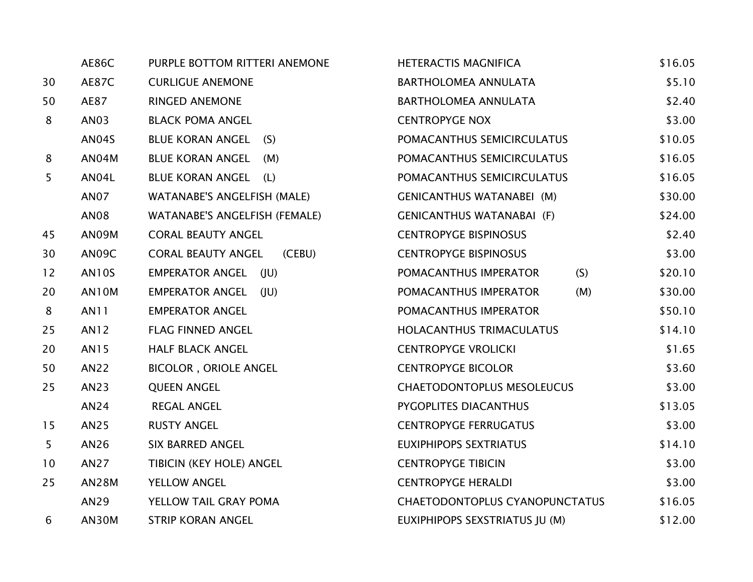|                | <b>AE86C</b> | PURPLE BOTTOM RITTERI ANEMONE       | <b>HETERACTIS MAGNIFICA</b>       | \$16.05 |
|----------------|--------------|-------------------------------------|-----------------------------------|---------|
| 30             | <b>AE87C</b> | <b>CURLIGUE ANEMONE</b>             | BARTHOLOMEA ANNULATA              | \$5.10  |
| 50             | AE87         | RINGED ANEMONE                      | BARTHOLOMEA ANNULATA              | \$2.40  |
| 8              | AN03         | <b>BLACK POMA ANGEL</b>             | <b>CENTROPYGE NOX</b>             | \$3.00  |
|                | AN04S        | BLUE KORAN ANGEL (S)                | POMACANTHUS SEMICIRCULATUS        | \$10.05 |
| 8              | AN04M        | <b>BLUE KORAN ANGEL</b><br>(M)      | POMACANTHUS SEMICIRCULATUS        | \$16.05 |
| 5 <sup>5</sup> | AN04L        | BLUE KORAN ANGEL (L)                | POMACANTHUS SEMICIRCULATUS        | \$16.05 |
|                | <b>AN07</b>  | WATANABE'S ANGELFISH (MALE)         | <b>GENICANTHUS WATANABEI (M)</b>  | \$30.00 |
|                | <b>AN08</b>  | WATANABE'S ANGELFISH (FEMALE)       | <b>GENICANTHUS WATANABAI (F)</b>  | \$24.00 |
| 45             | AN09M        | <b>CORAL BEAUTY ANGEL</b>           | <b>CENTROPYGE BISPINOSUS</b>      | \$2.40  |
| 30             | AN09C        | <b>CORAL BEAUTY ANGEL</b><br>(CEBU) | <b>CENTROPYGE BISPINOSUS</b>      | \$3.00  |
| 12             | <b>AN10S</b> | EMPERATOR ANGEL (JU)                | (S)<br>POMACANTHUS IMPERATOR      | \$20.10 |
| 20             | AN10M        | EMPERATOR ANGEL (JU)                | POMACANTHUS IMPERATOR<br>(M)      | \$30.00 |
| 8              | <b>AN11</b>  | <b>EMPERATOR ANGEL</b>              | POMACANTHUS IMPERATOR             | \$50.10 |
| 25             | <b>AN12</b>  | <b>FLAG FINNED ANGEL</b>            | HOLACANTHUS TRIMACULATUS          | \$14.10 |
| 20             | AN15         | <b>HALF BLACK ANGEL</b>             | <b>CENTROPYGE VROLICKI</b>        | \$1.65  |
| 50             | AN22         | <b>BICOLOR, ORIOLE ANGEL</b>        | <b>CENTROPYGE BICOLOR</b>         | \$3.60  |
| 25             | AN23         | <b>QUEEN ANGEL</b>                  | <b>CHAETODONTOPLUS MESOLEUCUS</b> | \$3.00  |
|                | AN24         | <b>REGAL ANGEL</b>                  | PYGOPLITES DIACANTHUS             | \$13.05 |
| 15             | AN25         | <b>RUSTY ANGEL</b>                  | <b>CENTROPYGE FERRUGATUS</b>      | \$3.00  |
| 5 <sup>1</sup> | AN26         | <b>SIX BARRED ANGEL</b>             | <b>EUXIPHIPOPS SEXTRIATUS</b>     | \$14.10 |
| 10             | AN27         | TIBICIN (KEY HOLE) ANGEL            | <b>CENTROPYGE TIBICIN</b>         | \$3.00  |
| 25             | <b>AN28M</b> | <b>YELLOW ANGEL</b>                 | <b>CENTROPYGE HERALDI</b>         | \$3.00  |
|                | AN29         | YELLOW TAIL GRAY POMA               | CHAETODONTOPLUS CYANOPUNCTATUS    | \$16.05 |
| 6              | AN30M        | <b>STRIP KORAN ANGEL</b>            | EUXIPHIPOPS SEXSTRIATUS JU (M)    | \$12.00 |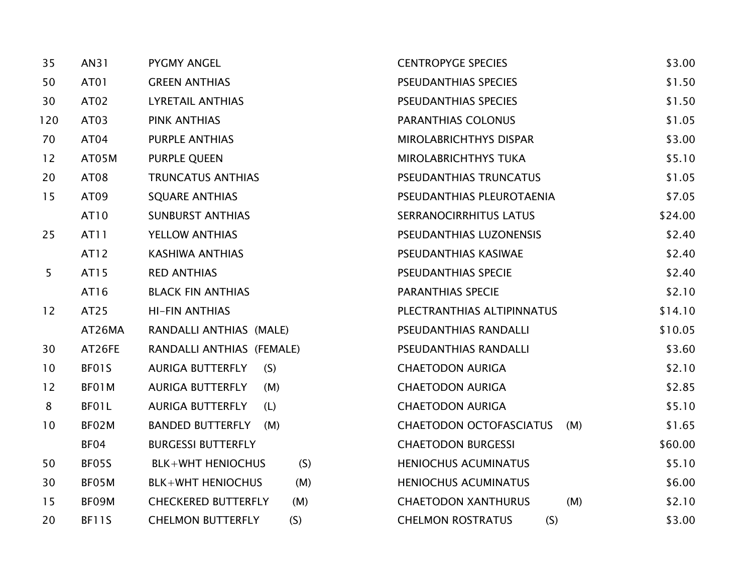| 35  | AN31         | <b>PYGMY ANGEL</b>                | <b>CENTROPYGE SPECIES</b>             | \$3.00  |
|-----|--------------|-----------------------------------|---------------------------------------|---------|
| 50  | AT01         | <b>GREEN ANTHIAS</b>              | PSEUDANTHIAS SPECIES                  | \$1.50  |
| 30  | AT02         | <b>LYRETAIL ANTHIAS</b>           | PSEUDANTHIAS SPECIES                  | \$1.50  |
| 120 | AT03         | <b>PINK ANTHIAS</b>               | PARANTHIAS COLONUS                    | \$1.05  |
| 70  | AT04         | PURPLE ANTHIAS                    | MIROLABRICHTHYS DISPAR                | \$3.00  |
| 12  | AT05M        | PURPLE QUEEN                      | <b>MIROLABRICHTHYS TUKA</b>           | \$5.10  |
| 20  | AT08         | <b>TRUNCATUS ANTHIAS</b>          | PSEUDANTHIAS TRUNCATUS                | \$1.05  |
| 15  | AT09         | <b>SQUARE ANTHIAS</b>             | PSEUDANTHIAS PLEUROTAENIA             | \$7.05  |
|     | AT10         | <b>SUNBURST ANTHIAS</b>           | SERRANOCIRRHITUS LATUS                | \$24.00 |
| 25  | AT11         | YELLOW ANTHIAS                    | PSEUDANTHIAS LUZONENSIS               | \$2.40  |
|     | AT12         | <b>KASHIWA ANTHIAS</b>            | PSEUDANTHIAS KASIWAE                  | \$2.40  |
| 5   | AT15         | <b>RED ANTHIAS</b>                | PSEUDANTHIAS SPECIE                   | \$2.40  |
|     | AT16         | <b>BLACK FIN ANTHIAS</b>          | <b>PARANTHIAS SPECIE</b>              | \$2.10  |
| 12  | AT25         | <b>HI-FIN ANTHIAS</b>             | PLECTRANTHIAS ALTIPINNATUS            | \$14.10 |
|     | AT26MA       | RANDALLI ANTHIAS (MALE)           | PSEUDANTHIAS RANDALLI                 | \$10.05 |
| 30  | AT26FE       | RANDALLI ANTHIAS (FEMALE)         | PSEUDANTHIAS RANDALLI                 | \$3.60  |
| 10  | BF01S        | <b>AURIGA BUTTERFLY</b><br>(S)    | <b>CHAETODON AURIGA</b>               | \$2.10  |
| 12  | BF01M        | <b>AURIGA BUTTERFLY</b><br>(M)    | <b>CHAETODON AURIGA</b>               | \$2.85  |
| 8   | BF01L        | <b>AURIGA BUTTERFLY</b><br>(L)    | <b>CHAETODON AURIGA</b>               | \$5.10  |
| 10  | BF02M        | <b>BANDED BUTTERFLY</b><br>(M)    | <b>CHAETODON OCTOFASCIATUS</b><br>(M) | \$1.65  |
|     | BF04         | <b>BURGESSI BUTTERFLY</b>         | <b>CHAETODON BURGESSI</b>             | \$60.00 |
| 50  | BF05S        | <b>BLK+WHT HENIOCHUS</b><br>(S)   | <b>HENIOCHUS ACUMINATUS</b>           | \$5.10  |
| 30  | BF05M        | (M)<br><b>BLK+WHT HENIOCHUS</b>   | <b>HENIOCHUS ACUMINATUS</b>           | \$6.00  |
| 15  | BF09M        | <b>CHECKERED BUTTERFLY</b><br>(M) | (M)<br><b>CHAETODON XANTHURUS</b>     | \$2.10  |
| 20  | <b>BF11S</b> | <b>CHELMON BUTTERFLY</b><br>(S)   | <b>CHELMON ROSTRATUS</b><br>(S)       | \$3.00  |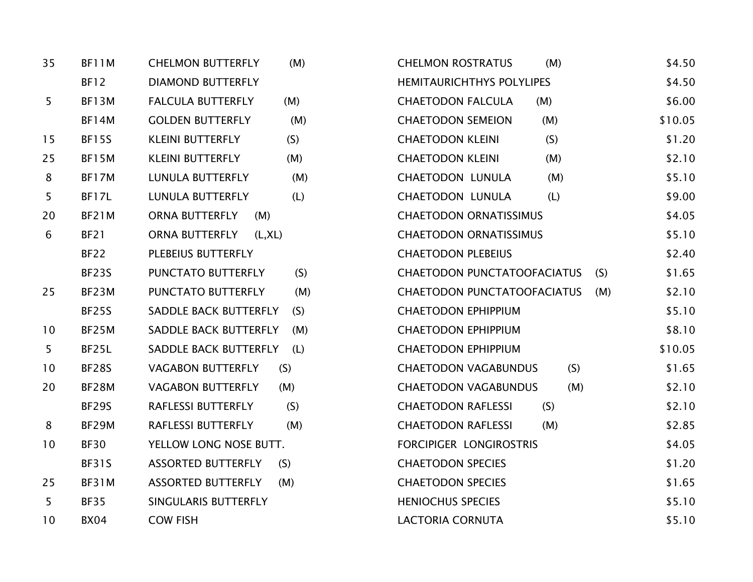| 35 | BF11M        | <b>CHELMON BUTTERFLY</b><br>(M)  | <b>CHELMON ROSTRATUS</b><br>(M)    | \$4.50  |
|----|--------------|----------------------------------|------------------------------------|---------|
|    | <b>BF12</b>  | <b>DIAMOND BUTTERFLY</b>         | <b>HEMITAURICHTHYS POLYLIPES</b>   | \$4.50  |
| 5  | BF13M        | <b>FALCULA BUTTERFLY</b><br>(M)  | <b>CHAETODON FALCULA</b><br>(M)    | \$6.00  |
|    | BF14M        | <b>GOLDEN BUTTERFLY</b><br>(M)   | <b>CHAETODON SEMEION</b><br>(M)    | \$10.05 |
| 15 | <b>BF15S</b> | (S)<br><b>KLEINI BUTTERFLY</b>   | (S)<br><b>CHAETODON KLEINI</b>     | \$1.20  |
| 25 | <b>BF15M</b> | <b>KLEINI BUTTERFLY</b><br>(M)   | <b>CHAETODON KLEINI</b><br>(M)     | \$2.10  |
| 8  | BF17M        | <b>LUNULA BUTTERFLY</b><br>(M)   | (M)<br>CHAETODON LUNULA            | \$5.10  |
| 5  | <b>BF17L</b> | <b>LUNULA BUTTERFLY</b><br>(L)   | <b>CHAETODON LUNULA</b><br>(L)     | \$9.00  |
| 20 | BF21M        | ORNA BUTTERFLY<br>(M)            | <b>CHAETODON ORNATISSIMUS</b>      | \$4.05  |
| 6  | <b>BF21</b>  | ORNA BUTTERFLY<br>(L, XL)        | <b>CHAETODON ORNATISSIMUS</b>      | \$5.10  |
|    | <b>BF22</b>  | PLEBEIUS BUTTERFLY               | <b>CHAETODON PLEBEIUS</b>          | \$2.40  |
|    | <b>BF23S</b> | PUNCTATO BUTTERFLY<br>(S)        | CHAETODON PUNCTATOOFACIATUS<br>(S) | \$1.65  |
| 25 | BF23M        | PUNCTATO BUTTERFLY<br>(M)        | CHAETODON PUNCTATOOFACIATUS<br>(M) | \$2.10  |
|    | <b>BF25S</b> | SADDLE BACK BUTTERFLY<br>(S)     | <b>CHAETODON EPHIPPIUM</b>         | \$5.10  |
| 10 | BF25M        | SADDLE BACK BUTTERFLY<br>(M)     | <b>CHAETODON EPHIPPIUM</b>         | \$8.10  |
| 5  | BF25L        | SADDLE BACK BUTTERFLY<br>(L)     | <b>CHAETODON EPHIPPIUM</b>         | \$10.05 |
| 10 | <b>BF28S</b> | <b>VAGABON BUTTERFLY</b><br>(S)  | <b>CHAETODON VAGABUNDUS</b><br>(S) | \$1.65  |
| 20 | BF28M        | <b>VAGABON BUTTERFLY</b><br>(M)  | (M)<br><b>CHAETODON VAGABUNDUS</b> | \$2.10  |
|    | BF29S        | (S)<br>RAFLESSI BUTTERFLY        | <b>CHAETODON RAFLESSI</b><br>(S)   | \$2.10  |
| 8  | BF29M        | RAFLESSI BUTTERFLY<br>(M)        | <b>CHAETODON RAFLESSI</b><br>(M)   | \$2.85  |
| 10 | <b>BF30</b>  | YELLOW LONG NOSE BUTT.           | FORCIPIGER LONGIROSTRIS            | \$4.05  |
|    | <b>BF31S</b> | <b>ASSORTED BUTTERFLY</b><br>(S) | <b>CHAETODON SPECIES</b>           | \$1.20  |
| 25 | BF31M        | <b>ASSORTED BUTTERFLY</b><br>(M) | <b>CHAETODON SPECIES</b>           | \$1.65  |
| 5  | <b>BF35</b>  | SINGULARIS BUTTERFLY             | <b>HENIOCHUS SPECIES</b>           | \$5.10  |
| 10 | <b>BX04</b>  | <b>COW FISH</b>                  | <b>LACTORIA CORNUTA</b>            | \$5.10  |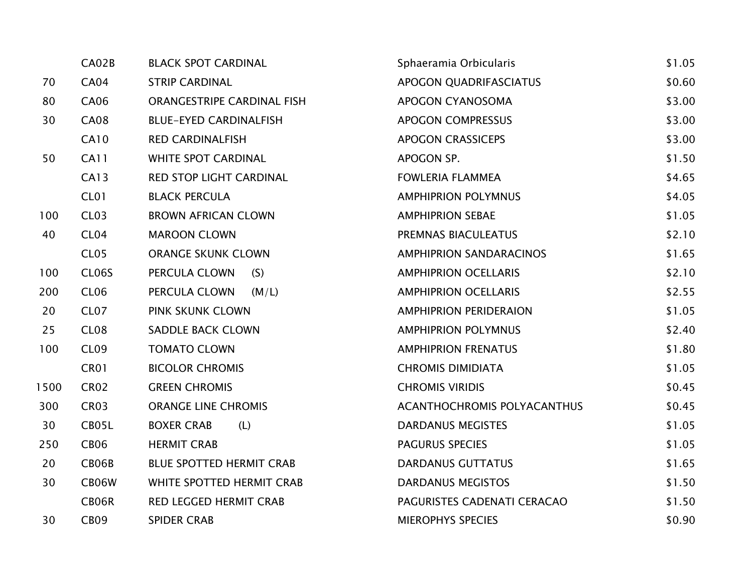|      | CA02B             | <b>BLACK SPOT CARDINAL</b>      | Sphaeramia Orbicularis             | \$1.05 |
|------|-------------------|---------------------------------|------------------------------------|--------|
| 70   | <b>CA04</b>       | <b>STRIP CARDINAL</b>           | APOGON QUADRIFASCIATUS             | \$0.60 |
| 80   | CA06              | ORANGESTRIPE CARDINAL FISH      | APOGON CYANOSOMA                   | \$3.00 |
| 30   | <b>CA08</b>       | <b>BLUE-EYED CARDINALFISH</b>   | <b>APOGON COMPRESSUS</b>           | \$3.00 |
|      | <b>CA10</b>       | <b>RED CARDINALFISH</b>         | <b>APOGON CRASSICEPS</b>           | \$3.00 |
| 50   | <b>CA11</b>       | <b>WHITE SPOT CARDINAL</b>      | APOGON SP.                         | \$1.50 |
|      | <b>CA13</b>       | RED STOP LIGHT CARDINAL         | <b>FOWLERIA FLAMMEA</b>            | \$4.65 |
|      | <b>CL01</b>       | <b>BLACK PERCULA</b>            | <b>AMPHIPRION POLYMNUS</b>         | \$4.05 |
| 100  | CL <sub>03</sub>  | <b>BROWN AFRICAN CLOWN</b>      | <b>AMPHIPRION SEBAE</b>            | \$1.05 |
| 40   | CL <sub>04</sub>  | <b>MAROON CLOWN</b>             | PREMNAS BIACULEATUS                | \$2.10 |
|      | CL <sub>05</sub>  | <b>ORANGE SKUNK CLOWN</b>       | <b>AMPHIPRION SANDARACINOS</b>     | \$1.65 |
| 100  | CL06S             | PERCULA CLOWN<br>(S)            | <b>AMPHIPRION OCELLARIS</b>        | \$2.10 |
| 200  | CL <sub>06</sub>  | PERCULA CLOWN<br>(M/L)          | <b>AMPHIPRION OCELLARIS</b>        | \$2.55 |
| 20   | CL <sub>07</sub>  | PINK SKUNK CLOWN                | <b>AMPHIPRION PERIDERAION</b>      | \$1.05 |
| 25   | CL <sub>0</sub> 8 | SADDLE BACK CLOWN               | <b>AMPHIPRION POLYMNUS</b>         | \$2.40 |
| 100  | CL <sub>09</sub>  | <b>TOMATO CLOWN</b>             | <b>AMPHIPRION FRENATUS</b>         | \$1.80 |
|      | CR01              | <b>BICOLOR CHROMIS</b>          | <b>CHROMIS DIMIDIATA</b>           | \$1.05 |
| 1500 | <b>CR02</b>       | <b>GREEN CHROMIS</b>            | <b>CHROMIS VIRIDIS</b>             | \$0.45 |
| 300  | CR <sub>03</sub>  | <b>ORANGE LINE CHROMIS</b>      | <b>ACANTHOCHROMIS POLYACANTHUS</b> | \$0.45 |
| 30   | CB05L             | <b>BOXER CRAB</b><br>(L)        | <b>DARDANUS MEGISTES</b>           | \$1.05 |
| 250  | <b>CB06</b>       | <b>HERMIT CRAB</b>              | PAGURUS SPECIES                    | \$1.05 |
| 20   | CB06B             | <b>BLUE SPOTTED HERMIT CRAB</b> | <b>DARDANUS GUTTATUS</b>           | \$1.65 |
| 30   | CB06W             | WHITE SPOTTED HERMIT CRAB       | <b>DARDANUS MEGISTOS</b>           | \$1.50 |
|      | CB06R             | <b>RED LEGGED HERMIT CRAB</b>   | PAGURISTES CADENATI CERACAO        | \$1.50 |
| 30   | CB <sub>09</sub>  | <b>SPIDER CRAB</b>              | <b>MIEROPHYS SPECIES</b>           | \$0.90 |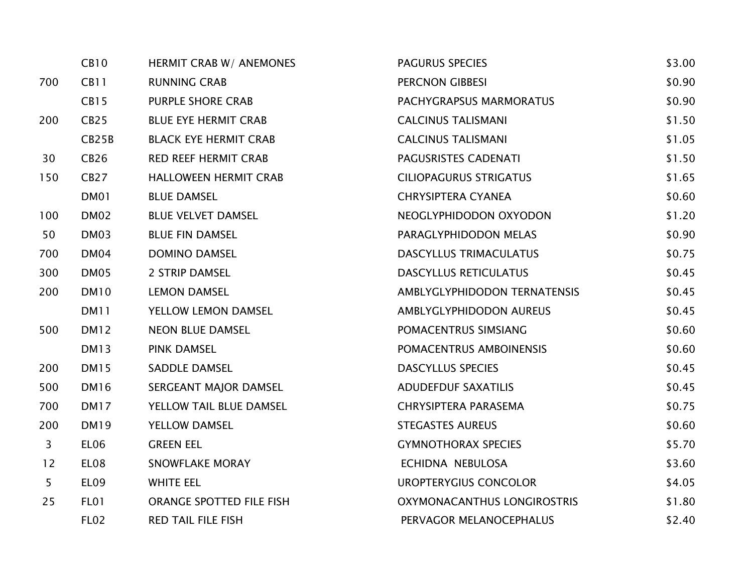|                | <b>CB10</b>      | HERMIT CRAB W/ ANEMONES      | PAGURUS SPECIES               | \$3.00 |
|----------------|------------------|------------------------------|-------------------------------|--------|
| 700            | CB11             | <b>RUNNING CRAB</b>          | PERCNON GIBBESI               | \$0.90 |
|                | <b>CB15</b>      | <b>PURPLE SHORE CRAB</b>     | PACHYGRAPSUS MARMORATUS       | \$0.90 |
| 200            | <b>CB25</b>      | <b>BLUE EYE HERMIT CRAB</b>  | <b>CALCINUS TALISMANI</b>     | \$1.50 |
|                | CB25B            | <b>BLACK EYE HERMIT CRAB</b> | <b>CALCINUS TALISMANI</b>     | \$1.05 |
| 30             | <b>CB26</b>      | <b>RED REEF HERMIT CRAB</b>  | PAGUSRISTES CADENATI          | \$1.50 |
| 150            | CB27             | <b>HALLOWEEN HERMIT CRAB</b> | <b>CILIOPAGURUS STRIGATUS</b> | \$1.65 |
|                | DM01             | <b>BLUE DAMSEL</b>           | <b>CHRYSIPTERA CYANEA</b>     | \$0.60 |
| 100            | DM02             | <b>BLUE VELVET DAMSEL</b>    | NEOGLYPHIDODON OXYODON        | \$1.20 |
| 50             | DM03             | <b>BLUE FIN DAMSEL</b>       | PARAGLYPHIDODON MELAS         | \$0.90 |
| 700            | DM04             | <b>DOMINO DAMSEL</b>         | <b>DASCYLLUS TRIMACULATUS</b> | \$0.75 |
| 300            | DM05             | 2 STRIP DAMSEL               | <b>DASCYLLUS RETICULATUS</b>  | \$0.45 |
| 200            | DM <sub>10</sub> | <b>LEMON DAMSEL</b>          | AMBLYGLYPHIDODON TERNATENSIS  | \$0.45 |
|                | DM11             | YELLOW LEMON DAMSEL          | AMBLYGLYPHIDODON AUREUS       | \$0.45 |
| 500            | <b>DM12</b>      | <b>NEON BLUE DAMSEL</b>      | POMACENTRUS SIMSIANG          | \$0.60 |
|                | <b>DM13</b>      | <b>PINK DAMSEL</b>           | POMACENTRUS AMBOINENSIS       | \$0.60 |
| 200            | <b>DM15</b>      | <b>SADDLE DAMSEL</b>         | <b>DASCYLLUS SPECIES</b>      | \$0.45 |
| 500            | DM16             | SERGEANT MAJOR DAMSEL        | <b>ADUDEFDUF SAXATILIS</b>    | \$0.45 |
| 700            | <b>DM17</b>      | YELLOW TAIL BLUE DAMSEL      | <b>CHRYSIPTERA PARASEMA</b>   | \$0.75 |
| 200            | <b>DM19</b>      | <b>YELLOW DAMSEL</b>         | <b>STEGASTES AUREUS</b>       | \$0.60 |
| 3              | EL <sub>06</sub> | <b>GREEN EEL</b>             | <b>GYMNOTHORAX SPECIES</b>    | \$5.70 |
| 12             | EL08             | <b>SNOWFLAKE MORAY</b>       | ECHIDNA NEBULOSA              | \$3.60 |
| 5 <sub>1</sub> | EL <sub>09</sub> | <b>WHITE EEL</b>             | UROPTERYGIUS CONCOLOR         | \$4.05 |
| 25             | FL01             | ORANGE SPOTTED FILE FISH     | OXYMONACANTHUS LONGIROSTRIS   | \$1.80 |
|                | <b>FL02</b>      | <b>RED TAIL FILE FISH</b>    | PERVAGOR MELANOCEPHALUS       | \$2.40 |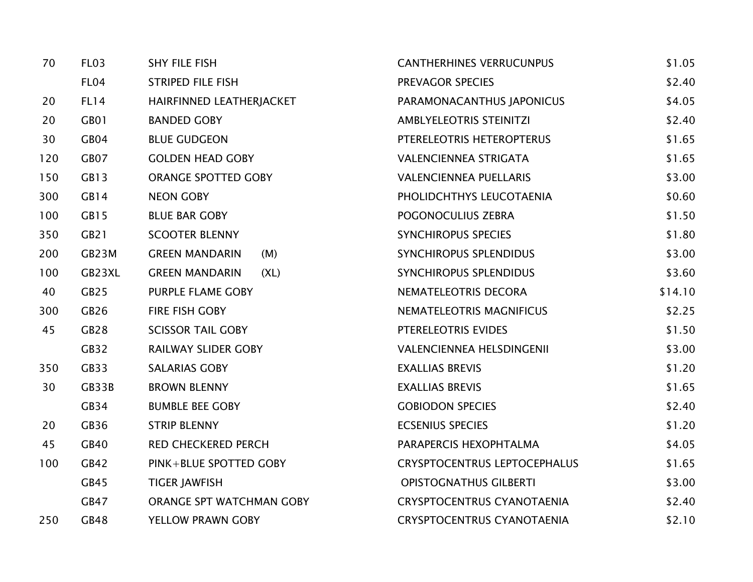| 70  | FL <sub>03</sub> | <b>SHY FILE FISH</b>          | <b>CANTHERHINES VERRUCUNPUS</b>     | \$1.05  |
|-----|------------------|-------------------------------|-------------------------------------|---------|
|     | FL <sub>04</sub> | <b>STRIPED FILE FISH</b>      | PREVAGOR SPECIES                    | \$2.40  |
| 20  | FL14             | HAIRFINNED LEATHERJACKET      | PARAMONACANTHUS JAPONICUS           | \$4.05  |
| 20  | GB01             | <b>BANDED GOBY</b>            | <b>AMBLYELEOTRIS STEINITZI</b>      | \$2.40  |
| 30  | GB <sub>04</sub> | <b>BLUE GUDGEON</b>           | PTERELEOTRIS HETEROPTERUS           | \$1.65  |
| 120 | GB07             | <b>GOLDEN HEAD GOBY</b>       | <b>VALENCIENNEA STRIGATA</b>        | \$1.65  |
| 150 | GB13             | ORANGE SPOTTED GOBY           | <b>VALENCIENNEA PUELLARIS</b>       | \$3.00  |
| 300 | GB14             | <b>NEON GOBY</b>              | PHOLIDCHTHYS LEUCOTAENIA            | \$0.60  |
| 100 | GB15             | <b>BLUE BAR GOBY</b>          | POGONOCULIUS ZEBRA                  | \$1.50  |
| 350 | GB <sub>21</sub> | <b>SCOOTER BLENNY</b>         | <b>SYNCHIROPUS SPECIES</b>          | \$1.80  |
| 200 | GB23M            | <b>GREEN MANDARIN</b><br>(M)  | SYNCHIROPUS SPLENDIDUS              | \$3.00  |
| 100 | GB23XL           | <b>GREEN MANDARIN</b><br>(XL) | SYNCHIROPUS SPLENDIDUS              | \$3.60  |
| 40  | GB <sub>25</sub> | PURPLE FLAME GOBY             | NEMATELEOTRIS DECORA                | \$14.10 |
| 300 | GB <sub>26</sub> | FIRE FISH GOBY                | <b>NEMATELEOTRIS MAGNIFICUS</b>     | \$2.25  |
| 45  | GB28             | <b>SCISSOR TAIL GOBY</b>      | PTERELEOTRIS EVIDES                 | \$1.50  |
|     | GB32             | <b>RAILWAY SLIDER GOBY</b>    | <b>VALENCIENNEA HELSDINGENII</b>    | \$3.00  |
| 350 | GB33             | <b>SALARIAS GOBY</b>          | <b>EXALLIAS BREVIS</b>              | \$1.20  |
| 30  | GB33B            | <b>BROWN BLENNY</b>           | <b>EXALLIAS BREVIS</b>              | \$1.65  |
|     | GB34             | <b>BUMBLE BEE GOBY</b>        | <b>GOBIODON SPECIES</b>             | \$2.40  |
| 20  | GB36             | <b>STRIP BLENNY</b>           | <b>ECSENIUS SPECIES</b>             | \$1.20  |
| 45  | GB40             | <b>RED CHECKERED PERCH</b>    | PARAPERCIS HEXOPHTALMA              | \$4.05  |
| 100 | GB42             | PINK+BLUE SPOTTED GOBY        | <b>CRYSPTOCENTRUS LEPTOCEPHALUS</b> | \$1.65  |
|     | GB45             | <b>TIGER JAWFISH</b>          | <b>OPISTOGNATHUS GILBERTI</b>       | \$3.00  |
|     | GB47             | ORANGE SPT WATCHMAN GOBY      | <b>CRYSPTOCENTRUS CYANOTAENIA</b>   | \$2.40  |
| 250 | GB48             | YELLOW PRAWN GOBY             | <b>CRYSPTOCENTRUS CYANOTAENIA</b>   | \$2.10  |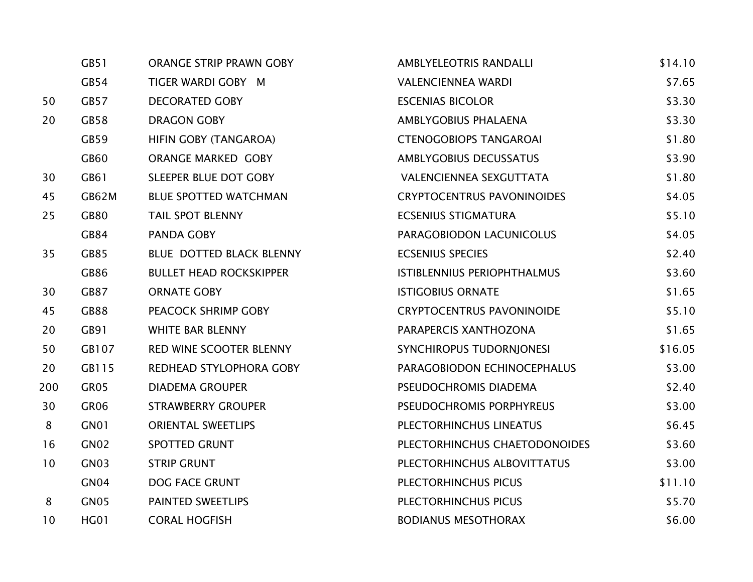|     | GB51             | <b>ORANGE STRIP PRAWN GOBY</b>  | AMBLYELEOTRIS RANDALLI            | \$14.10 |
|-----|------------------|---------------------------------|-----------------------------------|---------|
|     | GB54             | TIGER WARDI GOBY M              | <b>VALENCIENNEA WARDI</b>         | \$7.65  |
| 50  | GB57             | <b>DECORATED GOBY</b>           | <b>ESCENIAS BICOLOR</b>           | \$3.30  |
| 20  | GB58             | <b>DRAGON GOBY</b>              | AMBLYGOBIUS PHALAENA              | \$3.30  |
|     | GB59             | HIFIN GOBY (TANGAROA)           | <b>CTENOGOBIOPS TANGAROAI</b>     | \$1.80  |
|     | GB60             | <b>ORANGE MARKED GOBY</b>       | <b>AMBLYGOBIUS DECUSSATUS</b>     | \$3.90  |
| 30  | GB61             | SLEEPER BLUE DOT GOBY           | VALENCIENNEA SEXGUTTATA           | \$1.80  |
| 45  | GB62M            | <b>BLUE SPOTTED WATCHMAN</b>    | <b>CRYPTOCENTRUS PAVONINOIDES</b> | \$4.05  |
| 25  | <b>GB80</b>      | <b>TAIL SPOT BLENNY</b>         | <b>ECSENIUS STIGMATURA</b>        | \$5.10  |
|     | GB84             | PANDA GOBY                      | PARAGOBIODON LACUNICOLUS          | \$4.05  |
| 35  | GB85             | <b>BLUE DOTTED BLACK BLENNY</b> | <b>ECSENIUS SPECIES</b>           | \$2.40  |
|     | GB86             | <b>BULLET HEAD ROCKSKIPPER</b>  | ISTIBLENNIUS PERIOPHTHALMUS       | \$3.60  |
| 30  | <b>GB87</b>      | <b>ORNATE GOBY</b>              | <b>ISTIGOBIUS ORNATE</b>          | \$1.65  |
| 45  | <b>GB88</b>      | PEACOCK SHRIMP GOBY             | <b>CRYPTOCENTRUS PAVONINOIDE</b>  | \$5.10  |
| 20  | GB91             | <b>WHITE BAR BLENNY</b>         | PARAPERCIS XANTHOZONA             | \$1.65  |
| 50  | GB107            | RED WINE SCOOTER BLENNY         | SYNCHIROPUS TUDORNJONESI          | \$16.05 |
| 20  | GB115            | REDHEAD STYLOPHORA GOBY         | PARAGOBIODON ECHINOCEPHALUS       | \$3.00  |
| 200 | GR05             | <b>DIADEMA GROUPER</b>          | PSEUDOCHROMIS DIADEMA             | \$2.40  |
| 30  | GR06             | <b>STRAWBERRY GROUPER</b>       | PSEUDOCHROMIS PORPHYREUS          | \$3.00  |
| 8   | GN01             | <b>ORIENTAL SWEETLIPS</b>       | PLECTORHINCHUS LINEATUS           | \$6.45  |
| 16  | GN <sub>02</sub> | <b>SPOTTED GRUNT</b>            | PLECTORHINCHUS CHAETODONOIDES     | \$3.60  |
| 10  | GN03             | <b>STRIP GRUNT</b>              | PLECTORHINCHUS ALBOVITTATUS       | \$3.00  |
|     | GN <sub>04</sub> | DOG FACE GRUNT                  | PLECTORHINCHUS PICUS              | \$11.10 |
| 8   | GN05             | PAINTED SWEETLIPS               | PLECTORHINCHUS PICUS              | \$5.70  |
| 10  | <b>HG01</b>      | <b>CORAL HOGFISH</b>            | <b>BODIANUS MESOTHORAX</b>        | \$6.00  |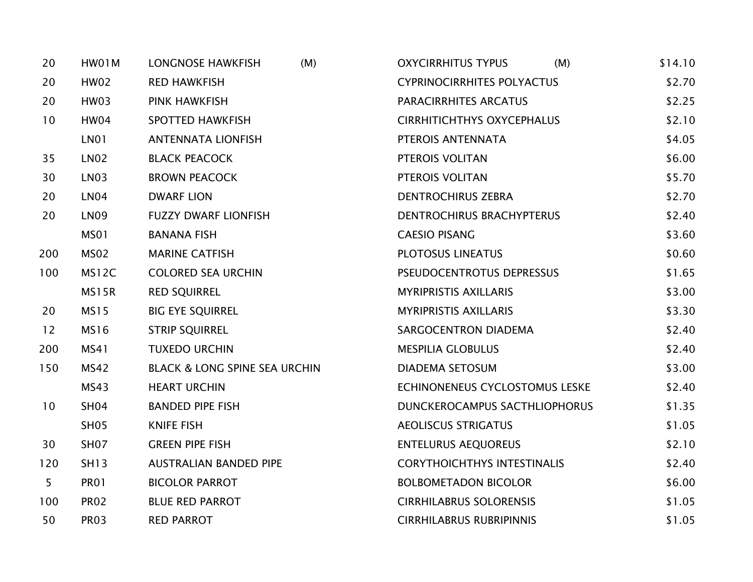| 20             | HW01M            | <b>LONGNOSE HAWKFISH</b><br>(M)          | <b>OXYCIRRHITUS TYPUS</b><br>(M)   | \$14.10 |
|----------------|------------------|------------------------------------------|------------------------------------|---------|
| 20             | <b>HW02</b>      | <b>RED HAWKFISH</b>                      | <b>CYPRINOCIRRHITES POLYACTUS</b>  | \$2.70  |
| 20             | HW03             | <b>PINK HAWKFISH</b>                     | PARACIRRHITES ARCATUS              | \$2.25  |
| 10             | <b>HW04</b>      | <b>SPOTTED HAWKFISH</b>                  | <b>CIRRHITICHTHYS OXYCEPHALUS</b>  | \$2.10  |
|                | LN01             | <b>ANTENNATA LIONFISH</b>                | PTEROIS ANTENNATA                  | \$4.05  |
| 35             | <b>LN02</b>      | <b>BLACK PEACOCK</b>                     | PTEROIS VOLITAN                    | \$6.00  |
| 30             | <b>LN03</b>      | <b>BROWN PEACOCK</b>                     | PTEROIS VOLITAN                    | \$5.70  |
| 20             | LN <sub>04</sub> | <b>DWARF LION</b>                        | <b>DENTROCHIRUS ZEBRA</b>          | \$2.70  |
| 20             | <b>LN09</b>      | <b>FUZZY DWARF LIONFISH</b>              | DENTROCHIRUS BRACHYPTERUS          | \$2.40  |
|                | MS01             | <b>BANANA FISH</b>                       | <b>CAESIO PISANG</b>               | \$3.60  |
| 200            | <b>MS02</b>      | <b>MARINE CATFISH</b>                    | PLOTOSUS LINEATUS                  | \$0.60  |
| 100            | MS12C            | <b>COLORED SEA URCHIN</b>                | PSEUDOCENTROTUS DEPRESSUS          | \$1.65  |
|                | MS15R            | <b>RED SQUIRREL</b>                      | <b>MYRIPRISTIS AXILLARIS</b>       | \$3.00  |
| 20             | <b>MS15</b>      | <b>BIG EYE SQUIRREL</b>                  | <b>MYRIPRISTIS AXILLARIS</b>       | \$3.30  |
| 12             | <b>MS16</b>      | <b>STRIP SQUIRREL</b>                    | SARGOCENTRON DIADEMA               | \$2.40  |
| 200            | MS41             | <b>TUXEDO URCHIN</b>                     | <b>MESPILIA GLOBULUS</b>           | \$2.40  |
| 150            | <b>MS42</b>      | <b>BLACK &amp; LONG SPINE SEA URCHIN</b> | <b>DIADEMA SETOSUM</b>             | \$3.00  |
|                | MS43             | <b>HEART URCHIN</b>                      | ECHINONENEUS CYCLOSTOMUS LESKE     | \$2.40  |
| 10             | <b>SH04</b>      | <b>BANDED PIPE FISH</b>                  | DUNCKEROCAMPUS SACTHLIOPHORUS      | \$1.35  |
|                | <b>SH05</b>      | <b>KNIFE FISH</b>                        | <b>AEOLISCUS STRIGATUS</b>         | \$1.05  |
| 30             | SH <sub>07</sub> | <b>GREEN PIPE FISH</b>                   | <b>ENTELURUS AEQUOREUS</b>         | \$2.10  |
| 120            | <b>SH13</b>      | <b>AUSTRALIAN BANDED PIPE</b>            | <b>CORYTHOICHTHYS INTESTINALIS</b> | \$2.40  |
| 5 <sub>1</sub> | <b>PR01</b>      | <b>BICOLOR PARROT</b>                    | <b>BOLBOMETADON BICOLOR</b>        | \$6.00  |
| 100            | <b>PR02</b>      | <b>BLUE RED PARROT</b>                   | <b>CIRRHILABRUS SOLORENSIS</b>     | \$1.05  |
| 50             | <b>PR03</b>      | <b>RED PARROT</b>                        | <b>CIRRHILABRUS RUBRIPINNIS</b>    | \$1.05  |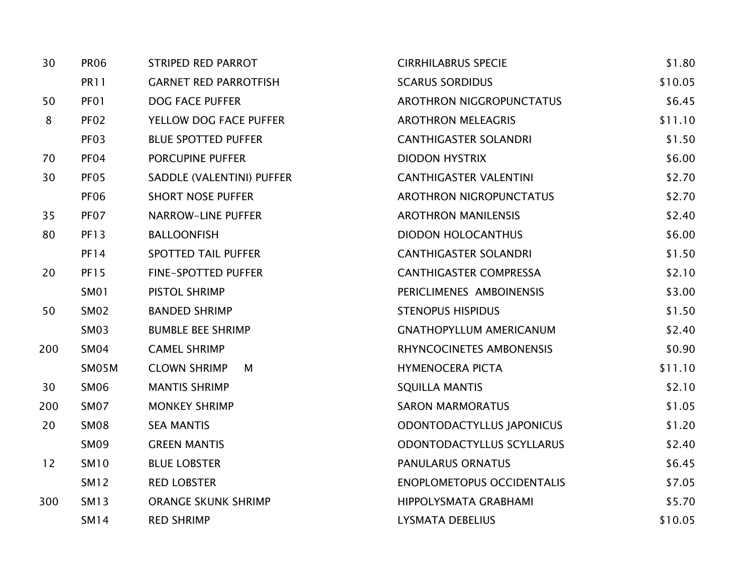| 30  | <b>PR06</b>      | <b>STRIPED RED PARROT</b>    | <b>CIRRHILABRUS SPECIE</b>        | \$1.80  |
|-----|------------------|------------------------------|-----------------------------------|---------|
|     | <b>PR11</b>      | <b>GARNET RED PARROTFISH</b> | <b>SCARUS SORDIDUS</b>            | \$10.05 |
| 50  | PF01             | <b>DOG FACE PUFFER</b>       | AROTHRON NIGGROPUNCTATUS          | \$6.45  |
| 8   | PF <sub>02</sub> | YELLOW DOG FACE PUFFER       | <b>AROTHRON MELEAGRIS</b>         | \$11.10 |
|     | PF <sub>03</sub> | <b>BLUE SPOTTED PUFFER</b>   | <b>CANTHIGASTER SOLANDRI</b>      | \$1.50  |
| 70  | PF <sub>04</sub> | <b>PORCUPINE PUFFER</b>      | <b>DIODON HYSTRIX</b>             | \$6.00  |
| 30  | PF <sub>05</sub> | SADDLE (VALENTINI) PUFFER    | <b>CANTHIGASTER VALENTINI</b>     | \$2.70  |
|     | <b>PF06</b>      | <b>SHORT NOSE PUFFER</b>     | AROTHRON NIGROPUNCTATUS           | \$2.70  |
| 35  | PF07             | <b>NARROW-LINE PUFFER</b>    | <b>AROTHRON MANILENSIS</b>        | \$2.40  |
| 80  | <b>PF13</b>      | <b>BALLOONFISH</b>           | <b>DIODON HOLOCANTHUS</b>         | \$6.00  |
|     | <b>PF14</b>      | <b>SPOTTED TAIL PUFFER</b>   | <b>CANTHIGASTER SOLANDRI</b>      | \$1.50  |
| 20  | <b>PF15</b>      | FINE-SPOTTED PUFFER          | <b>CANTHIGASTER COMPRESSA</b>     | \$2.10  |
|     | <b>SM01</b>      | PISTOL SHRIMP                | PERICLIMENES AMBOINENSIS          | \$3.00  |
| 50  | <b>SM02</b>      | <b>BANDED SHRIMP</b>         | <b>STENOPUS HISPIDUS</b>          | \$1.50  |
|     | <b>SM03</b>      | <b>BUMBLE BEE SHRIMP</b>     | <b>GNATHOPYLLUM AMERICANUM</b>    | \$2.40  |
| 200 | <b>SM04</b>      | <b>CAMEL SHRIMP</b>          | RHYNCOCINETES AMBONENSIS          | \$0.90  |
|     | SM05M            | <b>CLOWN SHRIMP</b><br>М     | <b>HYMENOCERA PICTA</b>           | \$11.10 |
| 30  | <b>SM06</b>      | <b>MANTIS SHRIMP</b>         | <b>SQUILLA MANTIS</b>             | \$2.10  |
| 200 | SM07             | <b>MONKEY SHRIMP</b>         | <b>SARON MARMORATUS</b>           | \$1.05  |
| 20  | <b>SM08</b>      | <b>SEA MANTIS</b>            | ODONTODACTYLLUS JAPONICUS         | \$1.20  |
|     | <b>SM09</b>      | <b>GREEN MANTIS</b>          | ODONTODACTYLLUS SCYLLARUS         | \$2.40  |
| 12  | <b>SM10</b>      | <b>BLUE LOBSTER</b>          | PANULARUS ORNATUS                 | \$6.45  |
|     | <b>SM12</b>      | <b>RED LOBSTER</b>           | <b>ENOPLOMETOPUS OCCIDENTALIS</b> | \$7.05  |
| 300 | <b>SM13</b>      | <b>ORANGE SKUNK SHRIMP</b>   | HIPPOLYSMATA GRABHAMI             | \$5.70  |
|     | <b>SM14</b>      | <b>RED SHRIMP</b>            | <b>LYSMATA DEBELIUS</b>           | \$10.05 |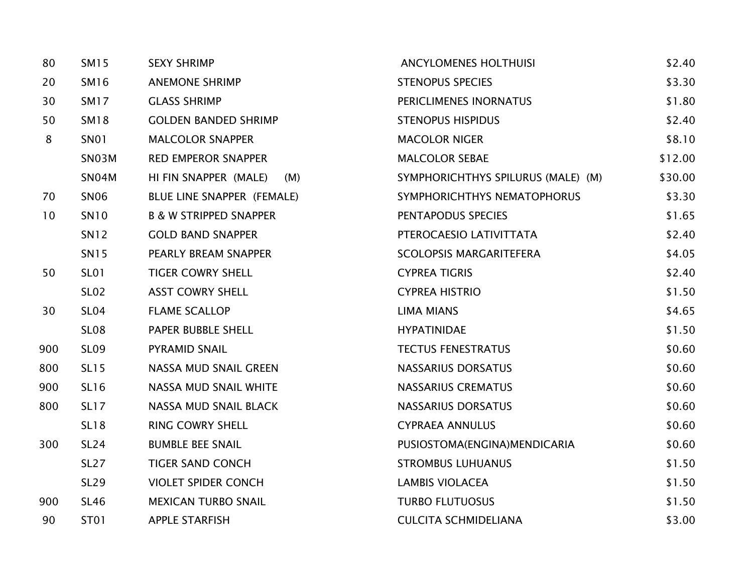| 80  | <b>SM15</b>      | <b>SEXY SHRIMP</b>                | <b>ANCYLOMENES HOLTHUISI</b>       | \$2.40  |
|-----|------------------|-----------------------------------|------------------------------------|---------|
| 20  | <b>SM16</b>      | <b>ANEMONE SHRIMP</b>             | <b>STENOPUS SPECIES</b>            | \$3.30  |
| 30  | <b>SM17</b>      | <b>GLASS SHRIMP</b>               | PERICLIMENES INORNATUS             | \$1.80  |
| 50  | <b>SM18</b>      | <b>GOLDEN BANDED SHRIMP</b>       | <b>STENOPUS HISPIDUS</b>           | \$2.40  |
| 8   | <b>SN01</b>      | <b>MALCOLOR SNAPPER</b>           | <b>MACOLOR NIGER</b>               | \$8.10  |
|     | SN03M            | <b>RED EMPEROR SNAPPER</b>        | <b>MALCOLOR SEBAE</b>              | \$12.00 |
|     | SN04M            | HI FIN SNAPPER (MALE)<br>(M)      | SYMPHORICHTHYS SPILURUS (MALE) (M) | \$30.00 |
| 70  | <b>SN06</b>      | BLUE LINE SNAPPER (FEMALE)        | SYMPHORICHTHYS NEMATOPHORUS        | \$3.30  |
| 10  | SN <sub>10</sub> | <b>B &amp; W STRIPPED SNAPPER</b> | PENTAPODUS SPECIES                 | \$1.65  |
|     | <b>SN12</b>      | <b>GOLD BAND SNAPPER</b>          | PTEROCAESIO LATIVITTATA            | \$2.40  |
|     | <b>SN15</b>      | PEARLY BREAM SNAPPER              | <b>SCOLOPSIS MARGARITEFERA</b>     | \$4.05  |
| 50  | <b>SL01</b>      | <b>TIGER COWRY SHELL</b>          | <b>CYPREA TIGRIS</b>               | \$2.40  |
|     | <b>SL02</b>      | <b>ASST COWRY SHELL</b>           | <b>CYPREA HISTRIO</b>              | \$1.50  |
| 30  | SL <sub>04</sub> | <b>FLAME SCALLOP</b>              | <b>LIMA MIANS</b>                  | \$4.65  |
|     | <b>SL08</b>      | PAPER BUBBLE SHELL                | <b>HYPATINIDAE</b>                 | \$1.50  |
| 900 | <b>SL09</b>      | PYRAMID SNAIL                     | <b>TECTUS FENESTRATUS</b>          | \$0.60  |
| 800 | <b>SL15</b>      | NASSA MUD SNAIL GREEN             | <b>NASSARIUS DORSATUS</b>          | \$0.60  |
| 900 | <b>SL16</b>      | NASSA MUD SNAIL WHITE             | <b>NASSARIUS CREMATUS</b>          | \$0.60  |
| 800 | <b>SL17</b>      | NASSA MUD SNAIL BLACK             | <b>NASSARIUS DORSATUS</b>          | \$0.60  |
|     | <b>SL18</b>      | <b>RING COWRY SHELL</b>           | <b>CYPRAEA ANNULUS</b>             | \$0.60  |
| 300 | <b>SL24</b>      | <b>BUMBLE BEE SNAIL</b>           | PUSIOSTOMA(ENGINA)MENDICARIA       | \$0.60  |
|     | <b>SL27</b>      | <b>TIGER SAND CONCH</b>           | <b>STROMBUS LUHUANUS</b>           | \$1.50  |
|     | <b>SL29</b>      | <b>VIOLET SPIDER CONCH</b>        | <b>LAMBIS VIOLACEA</b>             | \$1.50  |
| 900 | <b>SL46</b>      | <b>MEXICAN TURBO SNAIL</b>        | <b>TURBO FLUTUOSUS</b>             | \$1.50  |
| 90  | ST01             | <b>APPLE STARFISH</b>             | <b>CULCITA SCHMIDELIANA</b>        | \$3.00  |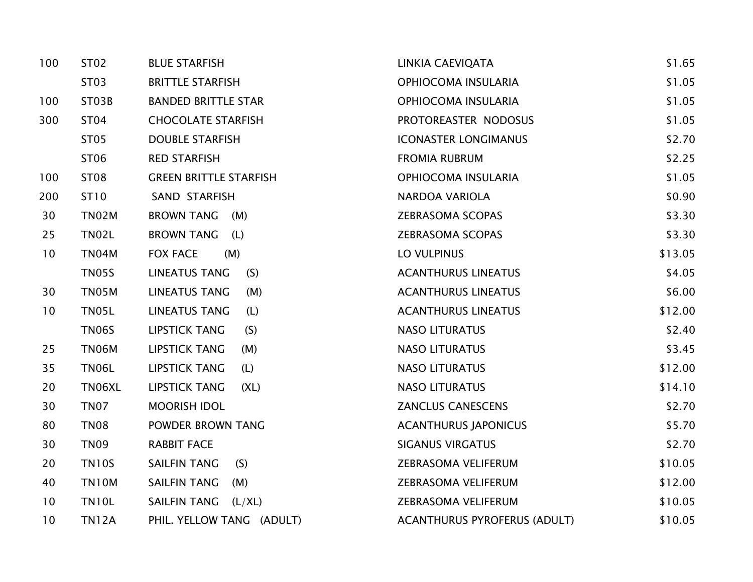| 100 | ST02         | <b>BLUE STARFISH</b>          | LINKIA CAEVIQATA                    | \$1.65  |
|-----|--------------|-------------------------------|-------------------------------------|---------|
|     | ST03         | <b>BRITTLE STARFISH</b>       | OPHIOCOMA INSULARIA                 | \$1.05  |
| 100 | ST03B        | <b>BANDED BRITTLE STAR</b>    | OPHIOCOMA INSULARIA                 | \$1.05  |
| 300 | <b>ST04</b>  | <b>CHOCOLATE STARFISH</b>     | PROTOREASTER NODOSUS                | \$1.05  |
|     | <b>ST05</b>  | <b>DOUBLE STARFISH</b>        | <b>ICONASTER LONGIMANUS</b>         | \$2.70  |
|     | ST06         | <b>RED STARFISH</b>           | <b>FROMIA RUBRUM</b>                | \$2.25  |
| 100 | <b>ST08</b>  | <b>GREEN BRITTLE STARFISH</b> | OPHIOCOMA INSULARIA                 | \$1.05  |
| 200 | ST10         | SAND STARFISH                 | <b>NARDOA VARIOLA</b>               | \$0.90  |
| 30  | TN02M        | BROWN TANG (M)                | <b>ZEBRASOMA SCOPAS</b>             | \$3.30  |
| 25  | <b>TN02L</b> | <b>BROWN TANG</b><br>(L)      | <b>ZEBRASOMA SCOPAS</b>             | \$3.30  |
| 10  | TN04M        | (M)<br><b>FOX FACE</b>        | LO VULPINUS                         | \$13.05 |
|     | <b>TN05S</b> | (S)<br><b>LINEATUS TANG</b>   | <b>ACANTHURUS LINEATUS</b>          | \$4.05  |
| 30  | <b>TN05M</b> | <b>LINEATUS TANG</b><br>(M)   | <b>ACANTHURUS LINEATUS</b>          | \$6.00  |
| 10  | TN05L        | <b>LINEATUS TANG</b><br>(L)   | <b>ACANTHURUS LINEATUS</b>          | \$12.00 |
|     | <b>TN06S</b> | <b>LIPSTICK TANG</b><br>(S)   | <b>NASO LITURATUS</b>               | \$2.40  |
| 25  | TN06M        | <b>LIPSTICK TANG</b><br>(M)   | <b>NASO LITURATUS</b>               | \$3.45  |
| 35  | <b>TN06L</b> | <b>LIPSTICK TANG</b><br>(L)   | <b>NASO LITURATUS</b>               | \$12.00 |
| 20  | TN06XL       | <b>LIPSTICK TANG</b><br>(XL)  | <b>NASO LITURATUS</b>               | \$14.10 |
| 30  | <b>TN07</b>  | <b>MOORISH IDOL</b>           | <b>ZANCLUS CANESCENS</b>            | \$2.70  |
| 80  | <b>TN08</b>  | POWDER BROWN TANG             | <b>ACANTHURUS JAPONICUS</b>         | \$5.70  |
| 30  | <b>TN09</b>  | <b>RABBIT FACE</b>            | <b>SIGANUS VIRGATUS</b>             | \$2.70  |
| 20  | <b>TN10S</b> | <b>SAILFIN TANG</b><br>(S)    | ZEBRASOMA VELIFERUM                 | \$10.05 |
| 40  | <b>TN10M</b> | SAILFIN TANG<br>(M)           | ZEBRASOMA VELIFERUM                 | \$12.00 |
| 10  | <b>TN10L</b> | SAILFIN TANG (L/XL)           | ZEBRASOMA VELIFERUM                 | \$10.05 |
| 10  | <b>TN12A</b> | PHIL. YELLOW TANG (ADULT)     | <b>ACANTHURUS PYROFERUS (ADULT)</b> | \$10.05 |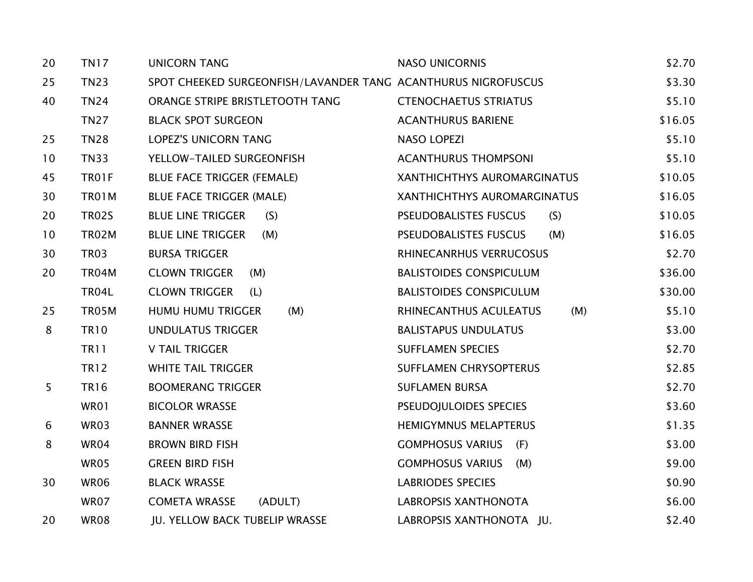| 20             | <b>TN17</b>  | <b>UNICORN TANG</b>                                           | <b>NASO UNICORNIS</b>               | \$2.70  |
|----------------|--------------|---------------------------------------------------------------|-------------------------------------|---------|
| 25             | <b>TN23</b>  | SPOT CHEEKED SURGEONFISH/LAVANDER TANG ACANTHURUS NIGROFUSCUS |                                     | \$3.30  |
| 40             | <b>TN24</b>  | ORANGE STRIPE BRISTLETOOTH TANG                               | <b>CTENOCHAETUS STRIATUS</b>        | \$5.10  |
|                | <b>TN27</b>  | <b>BLACK SPOT SURGEON</b>                                     | <b>ACANTHURUS BARIENE</b>           | \$16.05 |
| 25             | <b>TN28</b>  | <b>LOPEZ'S UNICORN TANG</b>                                   | NASO LOPEZI                         | \$5.10  |
| 10             | <b>TN33</b>  | YELLOW-TAILED SURGEONFISH                                     | <b>ACANTHURUS THOMPSONI</b>         | \$5.10  |
| 45             | <b>TR01F</b> | <b>BLUE FACE TRIGGER (FEMALE)</b>                             | XANTHICHTHYS AUROMARGINATUS         | \$10.05 |
| 30             | <b>TR01M</b> | <b>BLUE FACE TRIGGER (MALE)</b>                               | XANTHICHTHYS AUROMARGINATUS         | \$16.05 |
| 20             | <b>TR02S</b> | <b>BLUE LINE TRIGGER</b><br>(S)                               | <b>PSEUDOBALISTES FUSCUS</b><br>(S) | \$10.05 |
| 10             | TR02M        | <b>BLUE LINE TRIGGER</b><br>(M)                               | <b>PSEUDOBALISTES FUSCUS</b><br>(M) | \$16.05 |
| 30             | <b>TR03</b>  | <b>BURSA TRIGGER</b>                                          | RHINECANRHUS VERRUCOSUS             | \$2.70  |
| 20             | TR04M        | <b>CLOWN TRIGGER</b><br>(M)                                   | <b>BALISTOIDES CONSPICULUM</b>      | \$36.00 |
|                | <b>TR04L</b> | <b>CLOWN TRIGGER</b><br>(L)                                   | <b>BALISTOIDES CONSPICULUM</b>      | \$30.00 |
| 25             | TR05M        | HUMU HUMU TRIGGER<br>(M)                                      | RHINECANTHUS ACULEATUS<br>(M)       | \$5.10  |
| 8              | <b>TR10</b>  | <b>UNDULATUS TRIGGER</b>                                      | <b>BALISTAPUS UNDULATUS</b>         | \$3.00  |
|                | <b>TR11</b>  | <b>V TAIL TRIGGER</b>                                         | <b>SUFFLAMEN SPECIES</b>            | \$2.70  |
|                | <b>TR12</b>  | <b>WHITE TAIL TRIGGER</b>                                     | SUFFLAMEN CHRYSOPTERUS              | \$2.85  |
| 5 <sup>5</sup> | <b>TR16</b>  | <b>BOOMERANG TRIGGER</b>                                      | <b>SUFLAMEN BURSA</b>               | \$2.70  |
|                | WR01         | <b>BICOLOR WRASSE</b>                                         | PSEUDOJULOIDES SPECIES              | \$3.60  |
| 6              | WR03         | <b>BANNER WRASSE</b>                                          | <b>HEMIGYMNUS MELAPTERUS</b>        | \$1.35  |
| 8              | WR04         | <b>BROWN BIRD FISH</b>                                        | <b>GOMPHOSUS VARIUS</b><br>(F)      | \$3.00  |
|                | WR05         | <b>GREEN BIRD FISH</b>                                        | <b>GOMPHOSUS VARIUS</b><br>(M)      | \$9.00  |
| 30             | <b>WR06</b>  | <b>BLACK WRASSE</b>                                           | <b>LABRIODES SPECIES</b>            | \$0.90  |
|                | WR07         | <b>COMETA WRASSE</b><br>(ADULT)                               | <b>LABROPSIS XANTHONOTA</b>         | \$6.00  |
| 20             | <b>WR08</b>  | JU. YELLOW BACK TUBELIP WRASSE                                | LABROPSIS XANTHONOTA JU.            | \$2.40  |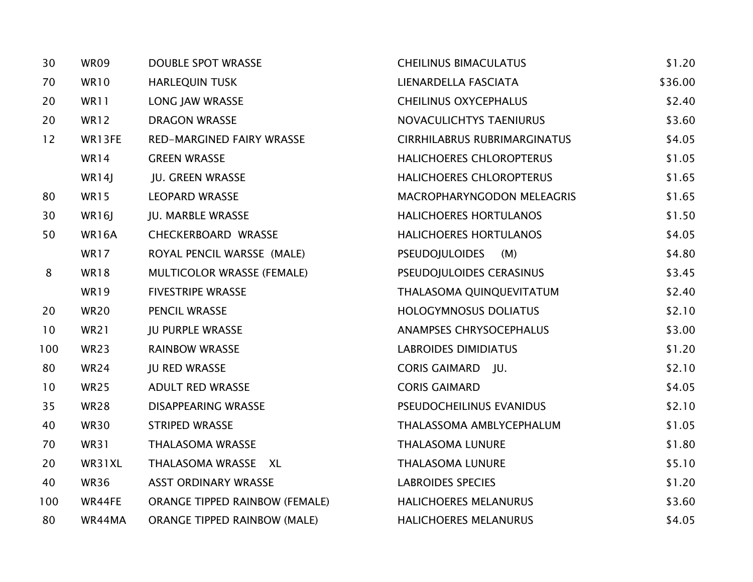| 30  | <b>WR09</b> | <b>DOUBLE SPOT WRASSE</b>             | <b>CHEILINUS BIMACULATUS</b>        | \$1.20  |
|-----|-------------|---------------------------------------|-------------------------------------|---------|
| 70  | <b>WR10</b> | <b>HARLEQUIN TUSK</b>                 | LIENARDELLA FASCIATA                | \$36.00 |
| 20  | WR11        | LONG JAW WRASSE                       | <b>CHEILINUS OXYCEPHALUS</b>        | \$2.40  |
| 20  | <b>WR12</b> | <b>DRAGON WRASSE</b>                  | NOVACULICHTYS TAENIURUS             | \$3.60  |
| 12  | WR13FE      | <b>RED-MARGINED FAIRY WRASSE</b>      | <b>CIRRHILABRUS RUBRIMARGINATUS</b> | \$4.05  |
|     | <b>WR14</b> | <b>GREEN WRASSE</b>                   | HALICHOERES CHLOROPTERUS            | \$1.05  |
|     | WR14J       | JU. GREEN WRASSE                      | HALICHOERES CHLOROPTERUS            | \$1.65  |
| 80  | <b>WR15</b> | <b>LEOPARD WRASSE</b>                 | MACROPHARYNGODON MELEAGRIS          | \$1.65  |
| 30  | WR16J       | <b>JU. MARBLE WRASSE</b>              | <b>HALICHOERES HORTULANOS</b>       | \$1.50  |
| 50  | WR16A       | <b>CHECKERBOARD WRASSE</b>            | HALICHOERES HORTULANOS              | \$4.05  |
|     | <b>WR17</b> | ROYAL PENCIL WARSSE (MALE)            | <b>PSEUDOJULOIDES</b><br>(M)        | \$4.80  |
| 8   | <b>WR18</b> | <b>MULTICOLOR WRASSE (FEMALE)</b>     | PSEUDOJULOIDES CERASINUS            | \$3.45  |
|     | <b>WR19</b> | <b>FIVESTRIPE WRASSE</b>              | THALASOMA QUINQUEVITATUM            | \$2.40  |
| 20  | <b>WR20</b> | PENCIL WRASSE                         | <b>HOLOGYMNOSUS DOLIATUS</b>        | \$2.10  |
| 10  | <b>WR21</b> | <b>JU PURPLE WRASSE</b>               | ANAMPSES CHRYSOCEPHALUS             | \$3.00  |
| 100 | WR23        | <b>RAINBOW WRASSE</b>                 | <b>LABROIDES DIMIDIATUS</b>         | \$1.20  |
| 80  | WR24        | <b>JU RED WRASSE</b>                  | CORIS GAIMARD JU.                   | \$2.10  |
| 10  | <b>WR25</b> | ADULT RED WRASSE                      | <b>CORIS GAIMARD</b>                | \$4.05  |
| 35  | <b>WR28</b> | <b>DISAPPEARING WRASSE</b>            | PSEUDOCHEILINUS EVANIDUS            | \$2.10  |
| 40  | <b>WR30</b> | <b>STRIPED WRASSE</b>                 | THALASSOMA AMBLYCEPHALUM            | \$1.05  |
| 70  | <b>WR31</b> | <b>THALASOMA WRASSE</b>               | <b>THALASOMA LUNURE</b>             | \$1.80  |
| 20  | WR31XL      | THALASOMA WRASSE XL                   | <b>THALASOMA LUNURE</b>             | \$5.10  |
| 40  | <b>WR36</b> | <b>ASST ORDINARY WRASSE</b>           | <b>LABROIDES SPECIES</b>            | \$1.20  |
| 100 | WR44FE      | <b>ORANGE TIPPED RAINBOW (FEMALE)</b> | <b>HALICHOERES MELANURUS</b>        | \$3.60  |
| 80  | WR44MA      | <b>ORANGE TIPPED RAINBOW (MALE)</b>   | <b>HALICHOERES MELANURUS</b>        | \$4.05  |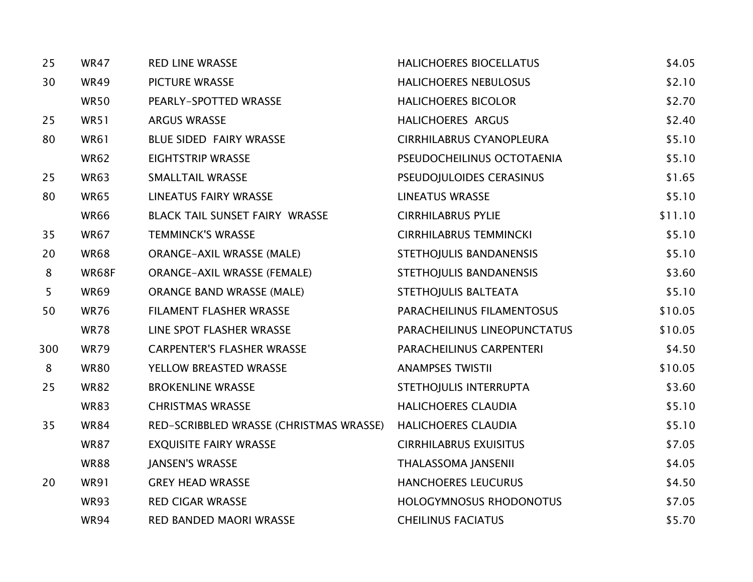| 25             | <b>WR47</b> | <b>RED LINE WRASSE</b>                  | <b>HALICHOERES BIOCELLATUS</b>  | \$4.05  |
|----------------|-------------|-----------------------------------------|---------------------------------|---------|
| 30             | <b>WR49</b> | <b>PICTURE WRASSE</b>                   | <b>HALICHOERES NEBULOSUS</b>    | \$2.10  |
|                | <b>WR50</b> | PEARLY-SPOTTED WRASSE                   | <b>HALICHOERES BICOLOR</b>      | \$2.70  |
| 25             | <b>WR51</b> | <b>ARGUS WRASSE</b>                     | HALICHOERES ARGUS               | \$2.40  |
| 80             | <b>WR61</b> | BLUE SIDED FAIRY WRASSE                 | <b>CIRRHILABRUS CYANOPLEURA</b> | \$5.10  |
|                | <b>WR62</b> | <b>EIGHTSTRIP WRASSE</b>                | PSEUDOCHEILINUS OCTOTAENIA      | \$5.10  |
| 25             | <b>WR63</b> | <b>SMALLTAIL WRASSE</b>                 | PSEUDOJULOIDES CERASINUS        | \$1.65  |
| 80             | <b>WR65</b> | <b>LINEATUS FAIRY WRASSE</b>            | <b>LINEATUS WRASSE</b>          | \$5.10  |
|                | <b>WR66</b> | BLACK TAIL SUNSET FAIRY WRASSE          | <b>CIRRHILABRUS PYLIE</b>       | \$11.10 |
| 35             | <b>WR67</b> | <b>TEMMINCK'S WRASSE</b>                | <b>CIRRHILABRUS TEMMINCKI</b>   | \$5.10  |
| 20             | <b>WR68</b> | <b>ORANGE-AXIL WRASSE (MALE)</b>        | STETHOJULIS BANDANENSIS         | \$5.10  |
| 8              | WR68F       | <b>ORANGE-AXIL WRASSE (FEMALE)</b>      | STETHOJULIS BANDANENSIS         | \$3.60  |
| 5 <sup>5</sup> | <b>WR69</b> | <b>ORANGE BAND WRASSE (MALE)</b>        | STETHOJULIS BALTEATA            | \$5.10  |
| 50             | <b>WR76</b> | FILAMENT FLASHER WRASSE                 | PARACHEILINUS FILAMENTOSUS      | \$10.05 |
|                | <b>WR78</b> | LINE SPOT FLASHER WRASSE                | PARACHEILINUS LINEOPUNCTATUS    | \$10.05 |
| 300            | <b>WR79</b> | <b>CARPENTER'S FLASHER WRASSE</b>       | PARACHEILINUS CARPENTERI        | \$4.50  |
| 8              | <b>WR80</b> | YELLOW BREASTED WRASSE                  | <b>ANAMPSES TWISTII</b>         | \$10.05 |
| 25             | <b>WR82</b> | <b>BROKENLINE WRASSE</b>                | STETHOJULIS INTERRUPTA          | \$3.60  |
|                | <b>WR83</b> | <b>CHRISTMAS WRASSE</b>                 | <b>HALICHOERES CLAUDIA</b>      | \$5.10  |
| 35             | <b>WR84</b> | RED-SCRIBBLED WRASSE (CHRISTMAS WRASSE) | <b>HALICHOERES CLAUDIA</b>      | \$5.10  |
|                | <b>WR87</b> | <b>EXQUISITE FAIRY WRASSE</b>           | <b>CIRRHILABRUS EXUISITUS</b>   | \$7.05  |
|                | <b>WR88</b> | <b>JANSEN'S WRASSE</b>                  | THALASSOMA JANSENII             | \$4.05  |
| 20             | <b>WR91</b> | <b>GREY HEAD WRASSE</b>                 | HANCHOERES LEUCURUS             | \$4.50  |
|                | <b>WR93</b> | <b>RED CIGAR WRASSE</b>                 | HOLOGYMNOSUS RHODONOTUS         | \$7.05  |
|                | <b>WR94</b> | RED BANDED MAORI WRASSE                 | <b>CHEILINUS FACIATUS</b>       | \$5.70  |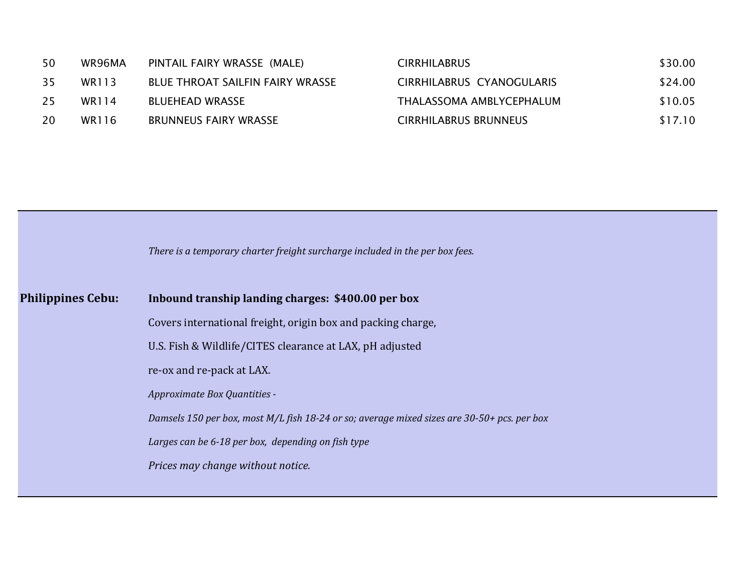| 50 | WR96MA | PINTAIL FAIRY WRASSE (MALE)      | <b>CIRRHILABRUS</b>          | \$30.00 |
|----|--------|----------------------------------|------------------------------|---------|
| 35 | WR113  | BLUE THROAT SAILFIN FAIRY WRASSE | CIRRHILABRUS CYANOGULARIS    | \$24.00 |
| 25 | WR114  | <b>BLUEHEAD WRASSE</b>           | THALASSOMA AMBLYCEPHALUM     | \$10.05 |
| 20 | WR116  | <b>BRUNNEUS FAIRY WRASSE</b>     | <b>CIRRHILABRUS BRUNNEUS</b> | \$17.10 |
|    |        |                                  |                              |         |

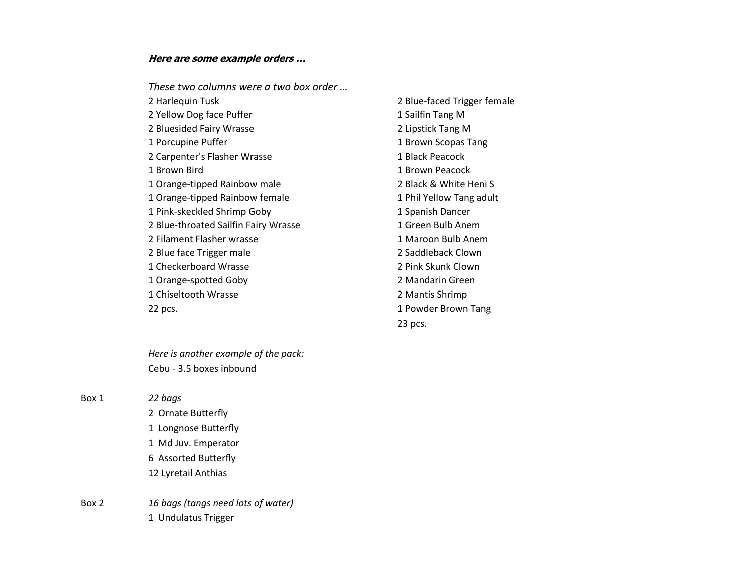#### **Here are some example orders …**

*These two columns were a two box order …*

2 Yellow Dog face Puffer 1 Sailfin Tang M 2 Bluesided Fairy Wrasse 2 Lipstick Tang M 1 Porcupine Puffer 1 Brown Scopas Tang 2 Carpenter's Flasher Wrasse 1 Black Peacock 1 Brown Bird 1 Brown Peacock 1 Orange-tipped Rainbow male 2 Black & White Heni S 1 Orange-tipped Rainbow female 1 Phil Yellow Tang adult 1 Pink-skeckled Shrimp Goby 1 Spanish Dancer 2 Blue-throated Sailfin Fairy Wrasse 1 Green Bulb Anem 2 Filament Flasher wrasse 1 Maroon Bulb Anem 2 Blue face Trigger male 2 Saddleback Clown 1 Checkerboard Wrasse 2 Pink Skunk Clown 1 Orange-spotted Goby 2 Mandarin Green 1 Chiseltooth Wrasse 2 Mantis Shrimp 22 pcs. **1 Powder Brown Tang** 

2 Harlequin Tusk 2 Blue-faced Trigger female 23 pcs.

*Here is another example of the pack:* Cebu - 3.5 boxes inbound

Box 1 *22 bags*

2 Ornate Butterfly 1 Longnose Butterfly 1 Md Juv. Emperator 6 Assorted Butterfly 12 Lyretail Anthias

Box 2 *16 bags (tangs need lots of water)* 1 Undulatus Trigger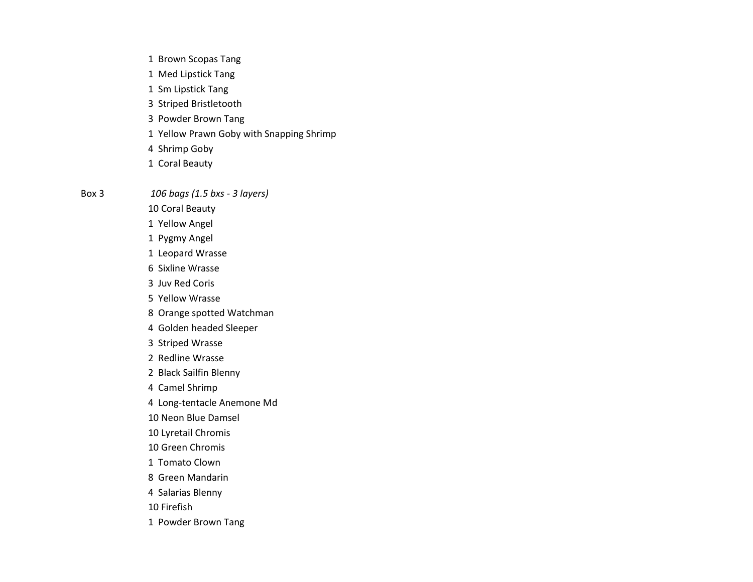- 1 Brown Scopas Tang
- 1 Med Lipstick Tang
- 1 Sm Lipstick Tang
- 3 Striped Bristletooth
- 3 Powder Brown Tang
- 1 Yellow Prawn Goby with Snapping Shrimp
- 4 Shrimp Goby
- 1 Coral Beauty

Box 3 *106 bags (1.5 bxs - 3 layers)*

- 10 Coral Beauty
- 1 Yellow Angel
- 1 Pygmy Angel
- 1 Leopard Wrasse
- 6 Sixline Wrasse
- 3 Juv Red Coris
- 5 Yellow Wrasse
- 8 Orange spotted Watchman
- 4 Golden headed Sleeper
- 3 Striped Wrasse
- 2 Redline Wrasse
- 2 Black Sailfin Blenny
- 4 Camel Shrimp
- 4 Long-tentacle Anemone Md
- 10 Neon Blue Damsel
- 10 Lyretail Chromis
- 10 Green Chromis
- 1 Tomato Clown
- 8 Green Mandarin
- 4 Salarias Blenny
- 10 Firefish
- 1 Powder Brown Tang